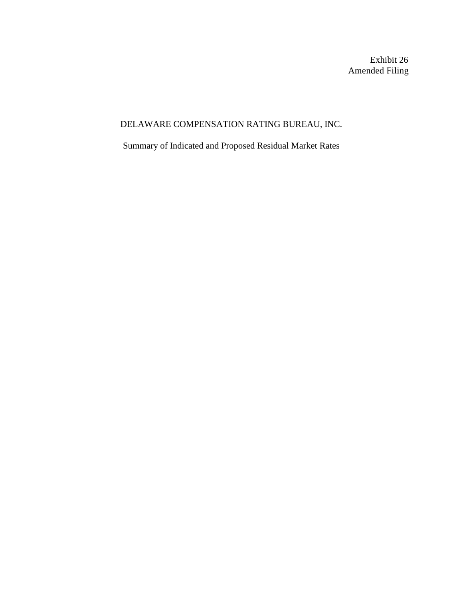Exhibit 26 Amended Filing

# DELAWARE COMPENSATION RATING BUREAU, INC.

Summary of Indicated and Proposed Residual Market Rates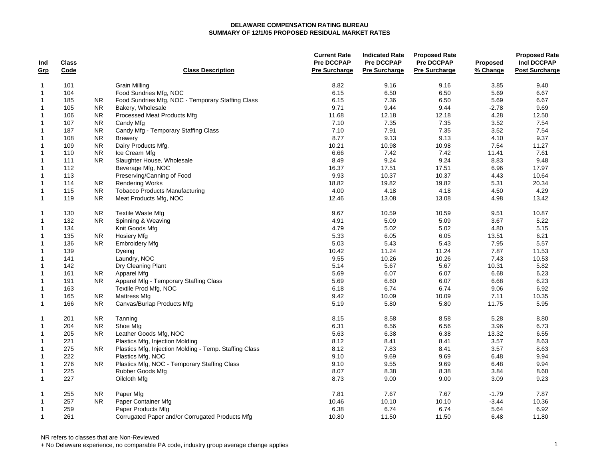| Ind<br>Grp     | <b>Class</b><br>Code |            | <b>Class Description</b>                               | <b>Current Rate</b><br><b>Pre DCCPAP</b><br>Pre Surcharge | <b>Indicated Rate</b><br><b>Pre DCCPAP</b><br><b>Pre Surcharge</b> | <b>Proposed Rate</b><br><b>Pre DCCPAP</b><br><b>Pre Surcharge</b> | <b>Proposed</b><br>% Change | <b>Proposed Rate</b><br><b>Incl DCCPAP</b><br><b>Post Surcharge</b> |
|----------------|----------------------|------------|--------------------------------------------------------|-----------------------------------------------------------|--------------------------------------------------------------------|-------------------------------------------------------------------|-----------------------------|---------------------------------------------------------------------|
|                |                      |            |                                                        |                                                           |                                                                    |                                                                   |                             |                                                                     |
| $\overline{1}$ | 101                  |            | <b>Grain Milling</b>                                   | 8.82                                                      | 9.16                                                               | 9.16                                                              | 3.85                        | 9.40                                                                |
| $\overline{1}$ | 104                  |            | Food Sundries Mfg, NOC                                 | 6.15                                                      | 6.50                                                               | 6.50                                                              | 5.69                        | 6.67                                                                |
| $\overline{1}$ | 185                  | NR.        | Food Sundries Mfg, NOC - Temporary Staffing Class      | 6.15                                                      | 7.36                                                               | 6.50                                                              | 5.69                        | 6.67                                                                |
| $\overline{1}$ | 105                  | <b>NR</b>  | Bakery, Wholesale                                      | 9.71                                                      | 9.44                                                               | 9.44                                                              | $-2.78$                     | 9.69                                                                |
| $\overline{1}$ | 106                  | <b>NR</b>  | Processed Meat Products Mfg                            | 11.68                                                     | 12.18                                                              | 12.18                                                             | 4.28                        | 12.50                                                               |
| $\overline{1}$ | 107                  | <b>NR</b>  | Candy Mfg                                              | 7.10                                                      | 7.35                                                               | 7.35                                                              | 3.52                        | 7.54                                                                |
| $\overline{1}$ | 187                  | <b>NR</b>  | Candy Mfg - Temporary Staffing Class                   | 7.10                                                      | 7.91                                                               | 7.35                                                              | 3.52                        | 7.54                                                                |
| $\overline{1}$ | 108                  | <b>NR</b>  | <b>Brewery</b>                                         | 8.77                                                      | 9.13                                                               | 9.13                                                              | 4.10                        | 9.37                                                                |
| $\overline{1}$ | 109                  | <b>NR</b>  | Dairy Products Mfg.                                    | 10.21                                                     | 10.98                                                              | 10.98                                                             | 7.54                        | 11.27                                                               |
| $\overline{1}$ | 110                  | <b>NR</b>  | Ice Cream Mfg                                          | 6.66                                                      | 7.42                                                               | 7.42                                                              | 11.41                       | 7.61                                                                |
| $\overline{1}$ | 111                  | <b>NR</b>  | Slaughter House, Wholesale                             | 8.49                                                      | 9.24                                                               | 9.24                                                              | 8.83                        | 9.48                                                                |
| $\overline{1}$ | 112                  |            | Beverage Mfg, NOC                                      | 16.37                                                     | 17.51                                                              | 17.51                                                             | 6.96                        | 17.97                                                               |
| $\overline{1}$ | 113                  |            | Preserving/Canning of Food                             | 9.93                                                      | 10.37                                                              | 10.37                                                             | 4.43                        | 10.64                                                               |
| $\overline{1}$ | 114                  | NR.        | <b>Rendering Works</b>                                 | 18.82                                                     | 19.82                                                              | 19.82                                                             | 5.31                        | 20.34                                                               |
| $\overline{1}$ | 115                  | <b>NR</b>  | <b>Tobacco Products Manufacturing</b>                  | 4.00                                                      | 4.18                                                               | 4.18                                                              | 4.50                        | 4.29                                                                |
| $\overline{1}$ | 119                  | <b>NR</b>  | Meat Products Mfg, NOC                                 | 12.46                                                     | 13.08                                                              | 13.08                                                             | 4.98                        | 13.42                                                               |
| $\overline{1}$ | 130                  | <b>NR</b>  | <b>Textile Waste Mfg</b>                               | 9.67                                                      | 10.59                                                              | 10.59                                                             | 9.51                        | 10.87                                                               |
| $\overline{1}$ | 132                  | <b>NR</b>  | Spinning & Weaving                                     | 4.91                                                      | 5.09                                                               | 5.09                                                              | 3.67                        | 5.22                                                                |
| $\overline{1}$ | 134                  |            | Knit Goods Mfg                                         | 4.79                                                      | 5.02                                                               | 5.02                                                              | 4.80                        | 5.15                                                                |
| $\overline{1}$ | 135                  | <b>NR</b>  | <b>Hosiery Mfg</b>                                     | 5.33                                                      | 6.05                                                               | 6.05                                                              | 13.51                       | 6.21                                                                |
| $\overline{1}$ | 136                  | <b>NR</b>  | <b>Embroidery Mfg</b>                                  | 5.03                                                      | 5.43                                                               | 5.43                                                              | 7.95                        | 5.57                                                                |
| $\overline{1}$ | 139                  |            | Dyeing                                                 | 10.42                                                     | 11.24                                                              | 11.24                                                             | 7.87                        | 11.53                                                               |
| $\overline{1}$ | 141                  |            | Laundry, NOC                                           | 9.55                                                      | 10.26                                                              | 10.26                                                             | 7.43                        | 10.53                                                               |
| $\overline{1}$ | 142                  |            | Dry Cleaning Plant                                     | 5.14                                                      | 5.67                                                               | 5.67                                                              | 10.31                       | 5.82                                                                |
| $\overline{1}$ | 161                  | NR.        | Apparel Mfg                                            | 5.69                                                      | 6.07                                                               | 6.07                                                              | 6.68                        | 6.23                                                                |
| $\overline{1}$ | 191                  | NR.        | Apparel Mfg - Temporary Staffing Class                 | 5.69                                                      | 6.60                                                               | 6.07                                                              | 6.68                        | 6.23                                                                |
| $\overline{1}$ | 163                  |            | Textile Prod Mfg, NOC                                  | 6.18                                                      | 6.74                                                               | 6.74                                                              | 9.06                        | 6.92                                                                |
| $\mathbf{1}$   | 165                  | <b>NR</b>  | Mattress Mfg                                           | 9.42                                                      | 10.09                                                              | 10.09                                                             | 7.11                        | 10.35                                                               |
| $\mathbf{1}$   | 166                  | <b>NR</b>  | Canvas/Burlap Products Mfg                             | 5.19                                                      | 5.80                                                               | 5.80                                                              | 11.75                       | 5.95                                                                |
| $\overline{1}$ | 201                  | ${\sf NR}$ | Tanning                                                | 8.15                                                      | 8.58                                                               | 8.58                                                              | 5.28                        | 8.80                                                                |
| $\mathbf{1}$   | 204                  | <b>NR</b>  | Shoe Mfg                                               | 6.31                                                      | 6.56                                                               | 6.56                                                              | 3.96                        | 6.73                                                                |
| $\overline{1}$ | 205                  | NR.        | Leather Goods Mfg, NOC                                 | 5.63                                                      | 6.38                                                               | 6.38                                                              | 13.32                       | 6.55                                                                |
| $\overline{1}$ | 221                  |            | Plastics Mfg, Injection Molding                        | 8.12                                                      | 8.41                                                               | 8.41                                                              | 3.57                        | 8.63                                                                |
| $\overline{1}$ | 275                  | NR.        | Plastics Mfg, Injection Molding - Temp. Staffing Class | 8.12                                                      | 7.83                                                               | 8.41                                                              | 3.57                        | 8.63                                                                |
| $\overline{1}$ | 222                  |            | Plastics Mfg, NOC                                      | 9.10                                                      | 9.69                                                               | 9.69                                                              | 6.48                        | 9.94                                                                |
| $\overline{1}$ | 276                  | NR.        | Plastics Mfg, NOC - Temporary Staffing Class           | 9.10                                                      | 9.55                                                               | 9.69                                                              | 6.48                        | 9.94                                                                |
| $\overline{1}$ | 225                  |            | Rubber Goods Mfg                                       | 8.07                                                      | 8.38                                                               | 8.38                                                              | 3.84                        | 8.60                                                                |
| $\overline{1}$ | 227                  |            | Oilcloth Mfg                                           | 8.73                                                      | 9.00                                                               | 9.00                                                              | 3.09                        | 9.23                                                                |
| $\overline{1}$ | 255                  | <b>NR</b>  | Paper Mfg                                              | 7.81                                                      | 7.67                                                               | 7.67                                                              | $-1.79$                     | 7.87                                                                |
| $\overline{1}$ | 257                  | <b>NR</b>  | Paper Container Mfg                                    | 10.46                                                     | 10.10                                                              | 10.10                                                             | $-3.44$                     | 10.36                                                               |
| $\overline{1}$ | 259                  |            | Paper Products Mfg                                     | 6.38                                                      | 6.74                                                               | 6.74                                                              | 5.64                        | 6.92                                                                |
| $\overline{1}$ | 261                  |            | Corrugated Paper and/or Corrugated Products Mfg        | 10.80                                                     | 11.50                                                              | 11.50                                                             | 6.48                        | 11.80                                                               |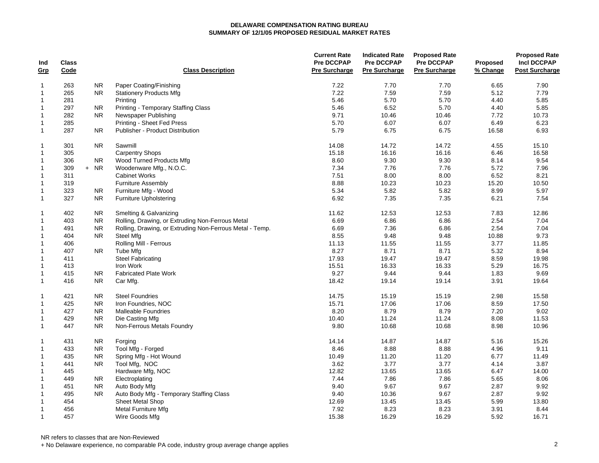| Ind            | <b>Class</b> |           |                                                          | <b>Current Rate</b><br><b>Pre DCCPAP</b> | <b>Indicated Rate</b><br><b>Pre DCCPAP</b> | <b>Proposed Rate</b><br><b>Pre DCCPAP</b> | <b>Proposed</b> | <b>Proposed Rate</b><br><b>Incl DCCPAP</b> |
|----------------|--------------|-----------|----------------------------------------------------------|------------------------------------------|--------------------------------------------|-------------------------------------------|-----------------|--------------------------------------------|
| Grp            | Code         |           | <b>Class Description</b>                                 | <b>Pre Surcharge</b>                     | <b>Pre Surcharge</b>                       | <b>Pre Surcharge</b>                      | % Change        | <b>Post Surcharge</b>                      |
| $\overline{1}$ | 263          | <b>NR</b> | Paper Coating/Finishing                                  | 7.22                                     | 7.70                                       | 7.70                                      | 6.65            | 7.90                                       |
| $\overline{1}$ | 265          | <b>NR</b> | <b>Stationery Products Mfg</b>                           | 7.22                                     | 7.59                                       | 7.59                                      | 5.12            | 7.79                                       |
| $\overline{1}$ | 281          |           | Printing                                                 | 5.46                                     | 5.70                                       | 5.70                                      | 4.40            | 5.85                                       |
| $\overline{1}$ | 297          | <b>NR</b> | <b>Printing - Temporary Staffing Class</b>               | 5.46                                     | 6.52                                       | 5.70                                      | 4.40            | 5.85                                       |
| $\overline{1}$ | 282          | <b>NR</b> | Newspaper Publishing                                     | 9.71                                     | 10.46                                      | 10.46                                     | 7.72            | 10.73                                      |
| $\overline{1}$ | 285          |           | Printing - Sheet Fed Press                               | 5.70                                     | 6.07                                       | 6.07                                      | 6.49            | 6.23                                       |
| $\overline{1}$ | 287          | <b>NR</b> | Publisher - Product Distribution                         | 5.79                                     | 6.75                                       | 6.75                                      | 16.58           | 6.93                                       |
| $\overline{1}$ | 301          | <b>NR</b> | Sawmill                                                  | 14.08                                    | 14.72                                      | 14.72                                     | 4.55            | 15.10                                      |
| $\overline{1}$ | 305          |           | <b>Carpentry Shops</b>                                   | 15.18                                    | 16.16                                      | 16.16                                     | 6.46            | 16.58                                      |
| $\overline{1}$ | 306          | <b>NR</b> | Wood Turned Products Mfg                                 | 8.60                                     | 9.30                                       | 9.30                                      | 8.14            | 9.54                                       |
| $\overline{1}$ | 309          | $+ NR$    | Woodenware Mfg., N.O.C.                                  | 7.34                                     | 7.76                                       | 7.76                                      | 5.72            | 7.96                                       |
| $\overline{1}$ | 311          |           | <b>Cabinet Works</b>                                     | 7.51                                     | 8.00                                       | 8.00                                      | 6.52            | 8.21                                       |
| $\overline{1}$ | 319          |           | <b>Furniture Assembly</b>                                | 8.88                                     | 10.23                                      | 10.23                                     | 15.20           | 10.50                                      |
| $\overline{1}$ | 323          | <b>NR</b> | Furniture Mfg - Wood                                     | 5.34                                     | 5.82                                       | 5.82                                      | 8.99            | 5.97                                       |
| $\overline{1}$ | 327          | <b>NR</b> | <b>Furniture Upholstering</b>                            | 6.92                                     | 7.35                                       | 7.35                                      | 6.21            | 7.54                                       |
| $\overline{1}$ | 402          | <b>NR</b> | <b>Smelting &amp; Galvanizing</b>                        | 11.62                                    | 12.53                                      | 12.53                                     | 7.83            | 12.86                                      |
| $\overline{1}$ | 403          | <b>NR</b> | Rolling, Drawing, or Extruding Non-Ferrous Metal         | 6.69                                     | 6.86                                       | 6.86                                      | 2.54            | 7.04                                       |
| $\overline{1}$ | 491          | <b>NR</b> | Rolling, Drawing, or Extruding Non-Ferrous Metal - Temp. | 6.69                                     | 7.36                                       | 6.86                                      | 2.54            | 7.04                                       |
| $\overline{1}$ | 404          | <b>NR</b> | Steel Mfg                                                | 8.55                                     | 9.48                                       | 9.48                                      | 10.88           | 9.73                                       |
| $\overline{1}$ | 406          |           | Rolling Mill - Ferrous                                   | 11.13                                    | 11.55                                      | 11.55                                     | 3.77            | 11.85                                      |
| $\overline{1}$ | 407          | NR.       | Tube Mfg                                                 | 8.27                                     | 8.71                                       | 8.71                                      | 5.32            | 8.94                                       |
| $\overline{1}$ | 411          |           | <b>Steel Fabricating</b>                                 | 17.93                                    | 19.47                                      | 19.47                                     | 8.59            | 19.98                                      |
| $\overline{1}$ | 413          |           | Iron Work                                                | 15.51                                    | 16.33                                      | 16.33                                     | 5.29            | 16.75                                      |
| $\overline{1}$ | 415          | <b>NR</b> | <b>Fabricated Plate Work</b>                             | 9.27                                     | 9.44                                       | 9.44                                      | 1.83            | 9.69                                       |
| $\overline{1}$ | 416          | <b>NR</b> | Car Mfg.                                                 | 18.42                                    | 19.14                                      | 19.14                                     | 3.91            | 19.64                                      |
| $\overline{1}$ | 421          | <b>NR</b> | <b>Steel Foundries</b>                                   | 14.75                                    | 15.19                                      | 15.19                                     | 2.98            | 15.58                                      |
| $\overline{1}$ | 425          | <b>NR</b> | Iron Foundries, NOC                                      | 15.71                                    | 17.06                                      | 17.06                                     | 8.59            | 17.50                                      |
| $\overline{1}$ | 427          | <b>NR</b> | <b>Malleable Foundries</b>                               | 8.20                                     | 8.79                                       | 8.79                                      | 7.20            | 9.02                                       |
| $\overline{1}$ | 429          | <b>NR</b> | Die Casting Mfg                                          | 10.40                                    | 11.24                                      | 11.24                                     | 8.08            | 11.53                                      |
| $\mathbf{1}$   | 447          | <b>NR</b> | Non-Ferrous Metals Foundry                               | 9.80                                     | 10.68                                      | 10.68                                     | 8.98            | 10.96                                      |
| $\overline{1}$ | 431          | <b>NR</b> | Forging                                                  | 14.14                                    | 14.87                                      | 14.87                                     | 5.16            | 15.26                                      |
| $\overline{1}$ | 433          | <b>NR</b> | Tool Mfg - Forged                                        | 8.46                                     | 8.88                                       | 8.88                                      | 4.96            | 9.11                                       |
| $\overline{1}$ | 435          | <b>NR</b> | Spring Mfg - Hot Wound                                   | 10.49                                    | 11.20                                      | 11.20                                     | 6.77            | 11.49                                      |
| $\overline{1}$ | 441          | <b>NR</b> | Tool Mfg, NOC                                            | 3.62                                     | 3.77                                       | 3.77                                      | 4.14            | 3.87                                       |
| $\overline{1}$ | 445          |           | Hardware Mfg, NOC                                        | 12.82                                    | 13.65                                      | 13.65                                     | 6.47            | 14.00                                      |
| $\overline{1}$ | 449          | NR.       | Electroplating                                           | 7.44                                     | 7.86                                       | 7.86                                      | 5.65            | 8.06                                       |
| $\overline{1}$ | 451          | <b>NR</b> | Auto Body Mfg                                            | 9.40                                     | 9.67                                       | 9.67                                      | 2.87            | 9.92                                       |
| $\overline{1}$ | 495          | <b>NR</b> | Auto Body Mfg - Temporary Staffing Class                 | 9.40                                     | 10.36                                      | 9.67                                      | 2.87            | 9.92                                       |
| $\overline{1}$ | 454          |           | <b>Sheet Metal Shop</b>                                  | 12.69                                    | 13.45                                      | 13.45                                     | 5.99            | 13.80                                      |
| $\overline{1}$ | 456          |           | <b>Metal Furniture Mfg</b>                               | 7.92                                     | 8.23                                       | 8.23                                      | 3.91            | 8.44                                       |
| $\mathbf{1}$   | 457          |           | Wire Goods Mfg                                           | 15.38                                    | 16.29                                      | 16.29                                     | 5.92            | 16.71                                      |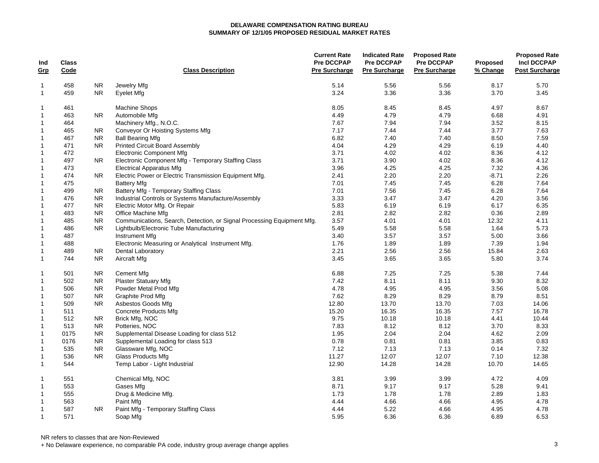| Ind<br><u>Grp</u> | <b>Class</b><br>Code |                | <b>Class Description</b>                                               | <b>Current Rate</b><br><b>Pre DCCPAP</b><br><b>Pre Surcharge</b> | <b>Indicated Rate</b><br><b>Pre DCCPAP</b><br><b>Pre Surcharge</b> | <b>Proposed Rate</b><br><b>Pre DCCPAP</b><br><b>Pre Surcharge</b> | <b>Proposed</b><br>% Change | <b>Proposed Rate</b><br><b>Incl DCCPAP</b><br><b>Post Surcharge</b> |
|-------------------|----------------------|----------------|------------------------------------------------------------------------|------------------------------------------------------------------|--------------------------------------------------------------------|-------------------------------------------------------------------|-----------------------------|---------------------------------------------------------------------|
| $\mathbf{1}$      | 458                  | <b>NR</b>      | Jewelry Mfg                                                            | 5.14                                                             | 5.56                                                               | 5.56                                                              | 8.17                        | 5.70                                                                |
| $\mathbf{1}$      | 459                  | NR.            | Eyelet Mfg                                                             | 3.24                                                             | 3.36                                                               | 3.36                                                              | 3.70                        | 3.45                                                                |
| $\mathbf 1$       | 461                  |                | <b>Machine Shops</b>                                                   | 8.05                                                             | 8.45                                                               | 8.45                                                              | 4.97                        | 8.67                                                                |
| 1                 | 463                  | N <sub>R</sub> | Automobile Mfg                                                         | 4.49                                                             | 4.79                                                               | 4.79                                                              | 6.68                        | 4.91                                                                |
| 1                 | 464                  |                | Machinery Mfg., N.O.C.                                                 | 7.67                                                             | 7.94                                                               | 7.94                                                              | 3.52                        | 8.15                                                                |
| $\mathbf{1}$      | 465                  | <b>NR</b>      | Conveyor Or Hoisting Systems Mfg                                       | 7.17                                                             | 7.44                                                               | 7.44                                                              | 3.77                        | 7.63                                                                |
| 1                 | 467                  | <b>NR</b>      | <b>Ball Bearing Mfg</b>                                                | 6.82                                                             | 7.40                                                               | 7.40                                                              | 8.50                        | 7.59                                                                |
| 1                 | 471                  | <b>NR</b>      | <b>Printed Circuit Board Assembly</b>                                  | 4.04                                                             | 4.29                                                               | 4.29                                                              | 6.19                        | 4.40                                                                |
| $\mathbf 1$       | 472                  |                | <b>Electronic Component Mfg</b>                                        | 3.71                                                             | 4.02                                                               | 4.02                                                              | 8.36                        | 4.12                                                                |
| $\mathbf{1}$      | 497                  | NR.            | Electronic Component Mfg - Temporary Staffing Class                    | 3.71                                                             | 3.90                                                               | 4.02                                                              | 8.36                        | 4.12                                                                |
| 1                 | 473                  |                | <b>Electrical Apparatus Mfg</b>                                        | 3.96                                                             | 4.25                                                               | 4.25                                                              | 7.32                        | 4.36                                                                |
| $\mathbf{1}$      | 474                  | <b>NR</b>      | Electric Power or Electric Transmission Equipment Mfg.                 | 2.41                                                             | 2.20                                                               | 2.20                                                              | $-8.71$                     | 2.26                                                                |
| $\mathbf{1}$      | 475                  |                | <b>Battery Mfg</b>                                                     | 7.01                                                             | 7.45                                                               | 7.45                                                              | 6.28                        | 7.64                                                                |
| $\mathbf{1}$      | 499                  | <b>NR</b>      | Battery Mfg - Temporary Staffing Class                                 | 7.01                                                             | 7.56                                                               | 7.45                                                              | 6.28                        | 7.64                                                                |
| 1                 | 476                  | <b>NR</b>      | Industrial Controls or Systems Manufacture/Assembly                    | 3.33                                                             | 3.47                                                               | 3.47                                                              | 4.20                        | 3.56                                                                |
| $\mathbf{1}$      | 477                  | <b>NR</b>      | Electric Motor Mfg. Or Repair                                          | 5.83                                                             | 6.19                                                               | 6.19                                                              | 6.17                        | 6.35                                                                |
| 1                 | 483                  | <b>NR</b>      | Office Machine Mfg                                                     | 2.81                                                             | 2.82                                                               | 2.82                                                              | 0.36                        | 2.89                                                                |
| $\mathbf{1}$      | 485                  | <b>NR</b>      | Communications, Search, Detection, or Signal Processing Equipment Mfg. | 3.57                                                             | 4.01                                                               | 4.01                                                              | 12.32                       | 4.11                                                                |
| $\mathbf{1}$      | 486                  | <b>NR</b>      | Lightbulb/Electronic Tube Manufacturing                                | 5.49                                                             | 5.58                                                               | 5.58                                                              | 1.64                        | 5.73                                                                |
| $\mathbf{1}$      | 487                  |                | Instrument Mfg                                                         | 3.40                                                             | 3.57                                                               | 3.57                                                              | 5.00                        | 3.66                                                                |
| 1                 | 488                  |                | Electronic Measuring or Analytical Instrument Mfg.                     | 1.76                                                             | 1.89                                                               | 1.89                                                              | 7.39                        | 1.94                                                                |
| 1                 | 489                  | <b>NR</b>      | <b>Dental Laboratory</b>                                               | 2.21                                                             | 2.56                                                               | 2.56                                                              | 15.84                       | 2.63                                                                |
| $\mathbf 1$       | 744                  | <b>NR</b>      | Aircraft Mfg                                                           | 3.45                                                             | 3.65                                                               | 3.65                                                              | 5.80                        | 3.74                                                                |
| 1                 | 501                  | <b>NR</b>      | <b>Cement Mfg</b>                                                      | 6.88                                                             | 7.25                                                               | 7.25                                                              | 5.38                        | 7.44                                                                |
| 1                 | 502                  | <b>NR</b>      | <b>Plaster Statuary Mfg</b>                                            | 7.42                                                             | 8.11                                                               | 8.11                                                              | 9.30                        | 8.32                                                                |
| $\mathbf{1}$      | 506                  | <b>NR</b>      | Powder Metal Prod Mfg                                                  | 4.78                                                             | 4.95                                                               | 4.95                                                              | 3.56                        | 5.08                                                                |
| $\mathbf 1$       | 507                  | <b>NR</b>      | Graphite Prod Mfg                                                      | 7.62                                                             | 8.29                                                               | 8.29                                                              | 8.79                        | 8.51                                                                |
| $\mathbf{1}$      | 509                  | <b>NR</b>      | Asbestos Goods Mfg                                                     | 12.80                                                            | 13.70                                                              | 13.70                                                             | 7.03                        | 14.06                                                               |
| 1                 | 511                  |                | <b>Concrete Products Mfg</b>                                           | 15.20                                                            | 16.35                                                              | 16.35                                                             | 7.57                        | 16.78                                                               |
| $\mathbf{1}$      | 512                  | NR.            | Brick Mfg, NOC                                                         | 9.75                                                             | 10.18                                                              | 10.18                                                             | 4.41                        | 10.44                                                               |
| 1                 | 513                  | <b>NR</b>      | Potteries, NOC                                                         | 7.83                                                             | 8.12                                                               | 8.12                                                              | 3.70                        | 8.33                                                                |
| 1                 | 0175                 | ${\sf NR}$     | Supplemental Disease Loading for class 512                             | 1.95                                                             | 2.04                                                               | 2.04                                                              | 4.62                        | 2.09                                                                |
| $\mathbf{1}$      | 0176                 | <b>NR</b>      | Supplemental Loading for class 513                                     | 0.78                                                             | 0.81                                                               | 0.81                                                              | 3.85                        | 0.83                                                                |
| 1                 | 535                  | NR.            | Glassware Mfg, NOC                                                     | 7.12                                                             | 7.13                                                               | 7.13                                                              | 0.14                        | 7.32                                                                |
| 1                 | 536                  | NR.            | Glass Products Mfg                                                     | 11.27                                                            | 12.07                                                              | 12.07                                                             | 7.10                        | 12.38                                                               |
| $\mathbf{1}$      | 544                  |                | Temp Labor - Light Industrial                                          | 12.90                                                            | 14.28                                                              | 14.28                                                             | 10.70                       | 14.65                                                               |
| 1                 | 551                  |                | Chemical Mfg, NOC                                                      | 3.81                                                             | 3.99                                                               | 3.99                                                              | 4.72                        | 4.09                                                                |
| $\mathbf{1}$      | 553                  |                | Gases Mfg                                                              | 8.71                                                             | 9.17                                                               | 9.17                                                              | 5.28                        | 9.41                                                                |
| 1                 | 555                  |                | Drug & Medicine Mfg.                                                   | 1.73                                                             | 1.78                                                               | 1.78                                                              | 2.89                        | 1.83                                                                |
| 1                 | 563                  |                | Paint Mfg                                                              | 4.44                                                             | 4.66                                                               | 4.66                                                              | 4.95                        | 4.78                                                                |
| 1                 | 587                  | NR.            | Paint Mfg - Temporary Staffing Class                                   | 4.44                                                             | 5.22                                                               | 4.66                                                              | 4.95                        | 4.78                                                                |
| $\mathbf{1}$      | 571                  |                | Soap Mfg                                                               | 5.95                                                             | 6.36                                                               | 6.36                                                              | 6.89                        | 6.53                                                                |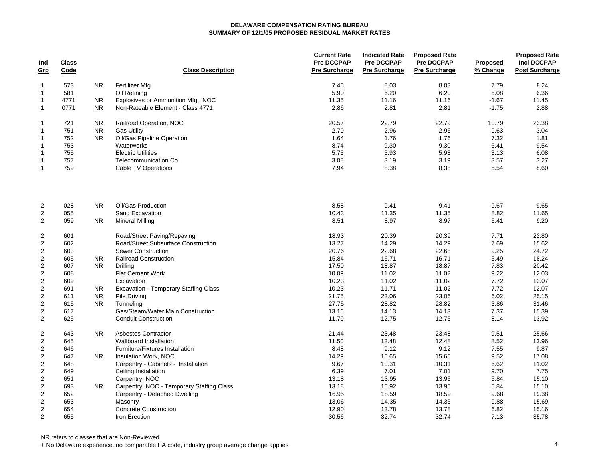| Ind<br>Grp          | <b>Class</b><br>Code |                | <b>Class Description</b>                      | <b>Current Rate</b><br><b>Pre DCCPAP</b><br><b>Pre Surcharge</b> | <b>Indicated Rate</b><br>Pre DCCPAP<br><b>Pre Surcharge</b> | <b>Proposed Rate</b><br><b>Pre DCCPAP</b><br><b>Pre Surcharge</b> | Proposed<br>% Change | <b>Proposed Rate</b><br><b>Incl DCCPAP</b><br><b>Post Surcharge</b> |
|---------------------|----------------------|----------------|-----------------------------------------------|------------------------------------------------------------------|-------------------------------------------------------------|-------------------------------------------------------------------|----------------------|---------------------------------------------------------------------|
| $\mathbf{1}$        | 573                  | <b>NR</b>      | Fertilizer Mfg                                | 7.45                                                             | 8.03                                                        | 8.03                                                              | 7.79                 | 8.24                                                                |
| $\mathbf{1}$        | 581                  |                | Oil Refining                                  | 5.90                                                             | 6.20                                                        | 6.20                                                              | 5.08                 | 6.36                                                                |
| $\mathbf{1}$        | 4771                 | NR.            | Explosives or Ammunition Mfg., NOC            | 11.35                                                            | 11.16                                                       | 11.16                                                             | $-1.67$              | 11.45                                                               |
| $\mathbf{1}$        | 0771                 | <b>NR</b>      | Non-Rateable Element - Class 4771             | 2.86                                                             | 2.81                                                        | 2.81                                                              | $-1.75$              | 2.88                                                                |
| $\mathbf{1}$        | 721                  | <b>NR</b>      | Railroad Operation, NOC                       | 20.57                                                            | 22.79                                                       | 22.79                                                             | 10.79                | 23.38                                                               |
| $\mathbf{1}$        | 751                  | <b>NR</b>      | <b>Gas Utility</b>                            | 2.70                                                             | 2.96                                                        | 2.96                                                              | 9.63                 | 3.04                                                                |
| $\mathbf{1}$        | 752                  | <b>NR</b>      | Oil/Gas Pipeline Operation                    | 1.64                                                             | 1.76                                                        | 1.76                                                              | 7.32                 | 1.81                                                                |
| $\mathbf{1}$        | 753                  |                | Waterworks                                    | 8.74                                                             | 9.30                                                        | 9.30                                                              | 6.41                 | 9.54                                                                |
| $\mathbf{1}$        | 755                  |                | <b>Electric Utilities</b>                     | 5.75                                                             | 5.93                                                        | 5.93                                                              | 3.13                 | 6.08                                                                |
| $\mathbf{1}$        | 757                  |                | Telecommunication Co.                         | 3.08                                                             | 3.19                                                        | 3.19                                                              | 3.57                 | 3.27                                                                |
| $\mathbf{1}$        | 759                  |                | Cable TV Operations                           | 7.94                                                             | 8.38                                                        | 8.38                                                              | 5.54                 | 8.60                                                                |
| $\overline{2}$      | 028                  | <b>NR</b>      | Oil/Gas Production                            | 8.58                                                             | 9.41                                                        | 9.41                                                              | 9.67                 | 9.65                                                                |
| 2                   | 055                  |                | Sand Excavation                               | 10.43                                                            | 11.35                                                       | 11.35                                                             | 8.82                 | 11.65                                                               |
| 2                   | 059                  | <b>NR</b>      | <b>Mineral Milling</b>                        | 8.51                                                             | 8.97                                                        | 8.97                                                              | 5.41                 | 9.20                                                                |
| $\boldsymbol{2}$    | 601                  |                | Road/Street Paving/Repaving                   | 18.93                                                            | 20.39                                                       | 20.39                                                             | 7.71                 | 22.80                                                               |
| $\sqrt{2}$          | 602                  |                | Road/Street Subsurface Construction           | 13.27                                                            | 14.29                                                       | 14.29                                                             | 7.69                 | 15.62                                                               |
| $\boldsymbol{2}$    | 603                  |                | <b>Sewer Construction</b>                     | 20.76                                                            | 22.68                                                       | 22.68                                                             | 9.25                 | 24.72                                                               |
| $\overline{c}$      | 605                  | NR.            | <b>Railroad Construction</b>                  | 15.84                                                            | 16.71                                                       | 16.71                                                             | 5.49                 | 18.24                                                               |
| $\boldsymbol{2}$    | 607                  | <b>NR</b>      | Drilling                                      | 17.50                                                            | 18.87                                                       | 18.87                                                             | 7.83                 | 20.42                                                               |
| $\sqrt{2}$          | 608                  |                | <b>Flat Cement Work</b>                       | 10.09                                                            | 11.02                                                       | 11.02                                                             | 9.22                 | 12.03                                                               |
| $\sqrt{2}$          | 609                  |                | Excavation                                    | 10.23                                                            | 11.02                                                       | 11.02                                                             | 7.72                 | 12.07                                                               |
| $\sqrt{2}$          | 691                  | <b>NR</b>      | <b>Excavation - Temporary Staffing Class</b>  | 10.23                                                            | 11.71                                                       | 11.02                                                             | 7.72                 | 12.07                                                               |
| $\overline{c}$      | 611                  | <b>NR</b>      | <b>Pile Driving</b>                           | 21.75                                                            | 23.06                                                       | 23.06                                                             | 6.02                 | 25.15                                                               |
| $\sqrt{2}$          | 615                  | <b>NR</b>      | Tunneling                                     | 27.75                                                            | 28.82                                                       | 28.82                                                             | 3.86                 | 31.46                                                               |
| $\overline{2}$      | 617                  |                | Gas/Steam/Water Main Construction             | 13.16                                                            | 14.13                                                       | 14.13                                                             | 7.37                 | 15.39                                                               |
| 2                   | 625                  |                | <b>Conduit Construction</b>                   | 11.79                                                            | 12.75                                                       | 12.75                                                             | 8.14                 | 13.92                                                               |
| $\overline{2}$      | 643                  | N <sub>R</sub> | Asbestos Contractor                           | 21.44                                                            | 23.48                                                       | 23.48                                                             | 9.51                 | 25.66                                                               |
| $\overline{2}$      | 645                  |                | Wallboard Installation                        | 11.50                                                            | 12.48                                                       | 12.48                                                             | 8.52                 | 13.96                                                               |
| $\overline{2}$      | 646                  |                | Furniture/Fixtures Installation               | 8.48                                                             | 9.12                                                        | 9.12                                                              | 7.55                 | 9.87                                                                |
| $\boldsymbol{2}$    | 647                  | NR.            | Insulation Work, NOC                          | 14.29                                                            | 15.65                                                       | 15.65                                                             | 9.52                 | 17.08                                                               |
| $\overline{2}$      | 648                  |                | Carpentry - Cabinets - Installation           | 9.67                                                             | 10.31                                                       | 10.31                                                             | 6.62                 | 11.02                                                               |
| $\boldsymbol{2}$    | 649                  |                | Ceiling Installation                          | 6.39                                                             | 7.01                                                        | 7.01                                                              | 9.70                 | 7.75                                                                |
| $\boldsymbol{2}$    | 651                  |                | Carpentry, NOC                                | 13.18                                                            | 13.95                                                       | 13.95                                                             | 5.84                 | 15.10                                                               |
| $\sqrt{2}$          | 693                  | NR.            | Carpentry, NOC - Temporary Staffing Class     | 13.18                                                            | 15.92                                                       | 13.95                                                             | 5.84                 | 15.10                                                               |
| $\sqrt{2}$          | 652                  |                | Carpentry - Detached Dwelling                 | 16.95                                                            | 18.59                                                       | 18.59                                                             | 9.68                 | 19.38                                                               |
| $\sqrt{2}$          | 653                  |                | Masonry                                       | 13.06                                                            | 14.35                                                       | 14.35                                                             | 9.88                 | 15.69                                                               |
| $\overline{2}$<br>2 | 654<br>655           |                | <b>Concrete Construction</b><br>Iron Erection | 12.90<br>30.56                                                   | 13.78<br>32.74                                              | 13.78<br>32.74                                                    | 6.82<br>7.13         | 15.16<br>35.78                                                      |
|                     |                      |                |                                               |                                                                  |                                                             |                                                                   |                      |                                                                     |

NR refers to classes that are Non-Reviewed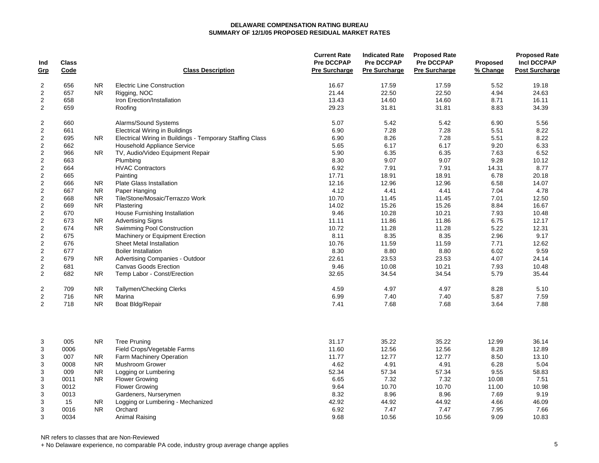| Ind<br>Grp       | <b>Class</b><br>Code |                  | <b>Class Description</b>                                  | <b>Current Rate</b><br><b>Pre DCCPAP</b><br>Pre Surcharge | <b>Indicated Rate</b><br><b>Pre DCCPAP</b><br><b>Pre Surcharge</b> | <b>Proposed Rate</b><br><b>Pre DCCPAP</b><br><b>Pre Surcharge</b> | <b>Proposed</b><br>% Change | <b>Proposed Rate</b><br><b>Incl DCCPAP</b><br><b>Post Surcharge</b> |
|------------------|----------------------|------------------|-----------------------------------------------------------|-----------------------------------------------------------|--------------------------------------------------------------------|-------------------------------------------------------------------|-----------------------------|---------------------------------------------------------------------|
| $\overline{2}$   | 656                  | <b>NR</b>        | <b>Electric Line Construction</b>                         | 16.67                                                     | 17.59                                                              | 17.59                                                             | 5.52                        | 19.18                                                               |
| $\overline{c}$   | 657                  | NR.              | Rigging, NOC                                              | 21.44                                                     | 22.50                                                              | 22.50                                                             | 4.94                        | 24.63                                                               |
| $\boldsymbol{2}$ | 658                  |                  | Iron Erection/Installation                                | 13.43                                                     | 14.60                                                              | 14.60                                                             | 8.71                        | 16.11                                                               |
| $\overline{2}$   | 659                  |                  | Roofing                                                   | 29.23                                                     | 31.81                                                              | 31.81                                                             | 8.83                        | 34.39                                                               |
| $\overline{c}$   | 660                  |                  | Alarms/Sound Systems                                      | 5.07                                                      | 5.42                                                               | 5.42                                                              | 6.90                        | 5.56                                                                |
| $\boldsymbol{2}$ | 661                  |                  | <b>Electrical Wiring in Buildings</b>                     | 6.90                                                      | 7.28                                                               | 7.28                                                              | 5.51                        | 8.22                                                                |
| $\boldsymbol{2}$ | 695                  | NR.              | Electrical Wiring in Buildings - Temporary Staffing Class | 6.90                                                      | 8.26                                                               | 7.28                                                              | 5.51                        | 8.22                                                                |
| $\boldsymbol{2}$ | 662                  |                  | Household Appliance Service                               | 5.65                                                      | 6.17                                                               | 6.17                                                              | 9.20                        | 6.33                                                                |
| $\boldsymbol{2}$ | 966                  | N <sub>R</sub>   | TV, Audio/Video Equipment Repair                          | 5.90                                                      | 6.35                                                               | 6.35                                                              | 7.63                        | 6.52                                                                |
| $\sqrt{2}$       | 663                  |                  | Plumbing                                                  | 8.30                                                      | 9.07                                                               | 9.07                                                              | 9.28                        | 10.12                                                               |
| 2                | 664                  |                  | <b>HVAC Contractors</b>                                   | 6.92                                                      | 7.91                                                               | 7.91                                                              | 14.31                       | 8.77                                                                |
| $\boldsymbol{2}$ | 665                  |                  | Painting                                                  | 17.71                                                     | 18.91                                                              | 18.91                                                             | 6.78                        | 20.18                                                               |
| $\overline{2}$   | 666                  | NR.              | <b>Plate Glass Installation</b>                           | 12.16                                                     | 12.96                                                              | 12.96                                                             | 6.58                        | 14.07                                                               |
| $\overline{2}$   | 667                  | <b>NR</b>        | Paper Hanging                                             | 4.12                                                      | 4.41                                                               | 4.41                                                              | 7.04                        | 4.78                                                                |
| $\sqrt{2}$       | 668                  | <b>NR</b>        | Tile/Stone/Mosaic/Terrazzo Work                           | 10.70                                                     | 11.45                                                              | 11.45                                                             | 7.01                        | 12.50                                                               |
| $\overline{c}$   | 669                  | <b>NR</b>        | Plastering                                                | 14.02                                                     | 15.26                                                              | 15.26                                                             | 8.84                        | 16.67                                                               |
| $\overline{c}$   | 670                  |                  | House Furnishing Installation                             | 9.46                                                      | 10.28                                                              | 10.21                                                             | 7.93                        | 10.48                                                               |
| $\overline{c}$   | 673                  | <b>NR</b>        | <b>Advertising Signs</b>                                  | 11.11                                                     | 11.86                                                              | 11.86                                                             | 6.75                        | 12.17                                                               |
| $\overline{c}$   | 674                  | N <sub>R</sub>   | Swimming Pool Construction                                | 10.72                                                     | 11.28                                                              | 11.28                                                             | 5.22                        | 12.31                                                               |
| $\overline{2}$   | 675                  |                  | Machinery or Equipment Erection                           | 8.11                                                      | 8.35                                                               | 8.35                                                              | 2.96                        | 9.17                                                                |
| $\overline{2}$   | 676                  |                  | Sheet Metal Installation                                  | 10.76                                                     | 11.59                                                              | 11.59                                                             | 7.71                        | 12.62                                                               |
| $\sqrt{2}$       | 677                  |                  | <b>Boiler Installation</b>                                | 8.30                                                      | 8.80                                                               | 8.80                                                              | 6.02                        | 9.59                                                                |
| $\sqrt{2}$       | 679                  | NR.              | Advertising Companies - Outdoor                           | 22.61                                                     | 23.53                                                              | 23.53                                                             | 4.07                        | 24.14                                                               |
| $\sqrt{2}$       | 681                  |                  | <b>Canvas Goods Erection</b>                              | 9.46                                                      | 10.08                                                              | 10.21                                                             | 7.93                        | 10.48                                                               |
| 2                | 682                  | N <sub>R</sub>   | Temp Labor - Const/Erection                               | 32.65                                                     | 34.54                                                              | 34.54                                                             | 5.79                        | 35.44                                                               |
| $\overline{c}$   | 709                  | <b>NR</b>        | Tallymen/Checking Clerks                                  | 4.59                                                      | 4.97                                                               | 4.97                                                              | 8.28                        | 5.10                                                                |
| 2                | 716                  | <b>NR</b>        | Marina                                                    | 6.99                                                      | 7.40                                                               | 7.40                                                              | 5.87                        | 7.59                                                                |
| 2                | 718                  | <b>NR</b>        | Boat Bldg/Repair                                          | 7.41                                                      | 7.68                                                               | 7.68                                                              | 3.64                        | 7.88                                                                |
| 3                | 005                  | <b>NR</b>        | <b>Tree Pruning</b>                                       | 31.17                                                     | 35.22                                                              | 35.22                                                             | 12.99                       | 36.14                                                               |
| 3                | 0006                 |                  | Field Crops/Vegetable Farms                               | 11.60                                                     | 12.56                                                              | 12.56                                                             | 8.28                        | 12.89                                                               |
| 3                | 007                  | <b>NR</b>        | Farm Machinery Operation                                  | 11.77                                                     | 12.77                                                              | 12.77                                                             | 8.50                        | 13.10                                                               |
| 3                | 0008                 | <b>NR</b>        | <b>Mushroom Grower</b>                                    | 4.62                                                      | 4.91                                                               | 4.91                                                              | 6.28                        | 5.04                                                                |
| 3                | 009                  | <b>NR</b>        | Logging or Lumbering                                      | 52.34                                                     | 57.34                                                              | 57.34                                                             | 9.55                        | 58.83                                                               |
| 3                | 0011                 | <b>NR</b>        | <b>Flower Growing</b>                                     | 6.65                                                      | 7.32                                                               | 7.32                                                              | 10.08                       | 7.51                                                                |
| $\mathsf 3$      | 0012                 |                  | <b>Flower Growing</b>                                     | 9.64<br>8.32                                              | 10.70                                                              | 10.70<br>8.96                                                     | 11.00<br>7.69               | 10.98                                                               |
| 3                | 0013                 |                  | Gardeners, Nurserymen                                     | 42.92                                                     | 8.96<br>44.92                                                      | 44.92                                                             |                             | 9.19<br>46.09                                                       |
| 3<br>3           | 15<br>0016           | NR.<br><b>NR</b> | Logging or Lumbering - Mechanized<br>Orchard              | 6.92                                                      | 7.47                                                               | 7.47                                                              | 4.66<br>7.95                | 7.66                                                                |
| 3                | 0034                 |                  |                                                           | 9.68                                                      | 10.56                                                              | 10.56                                                             | 9.09                        | 10.83                                                               |
|                  |                      |                  | Animal Raising                                            |                                                           |                                                                    |                                                                   |                             |                                                                     |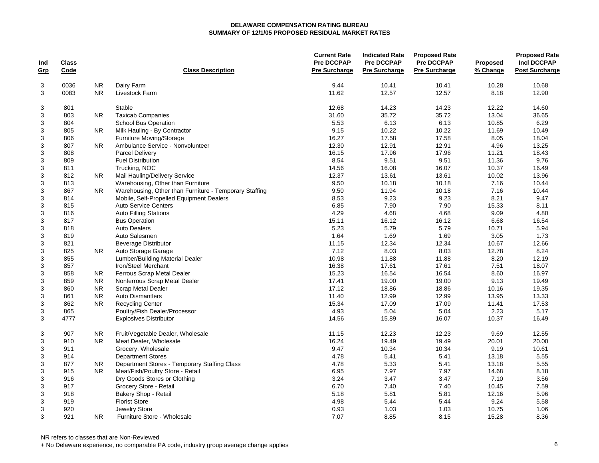| Ind<br><u>Grp</u> | <b>Class</b><br>Code |           | <b>Class Description</b>                               | <b>Current Rate</b><br><b>Pre DCCPAP</b><br><b>Pre Surcharge</b> | <b>Indicated Rate</b><br><b>Pre DCCPAP</b><br><b>Pre Surcharge</b> | <b>Proposed Rate</b><br><b>Pre DCCPAP</b><br><b>Pre Surcharge</b> | <b>Proposed</b><br>% Change | <b>Proposed Rate</b><br><b>Incl DCCPAP</b><br><b>Post Surcharge</b> |
|-------------------|----------------------|-----------|--------------------------------------------------------|------------------------------------------------------------------|--------------------------------------------------------------------|-------------------------------------------------------------------|-----------------------------|---------------------------------------------------------------------|
| 3                 | 0036                 | <b>NR</b> | Dairy Farm                                             | 9.44                                                             | 10.41                                                              | 10.41                                                             | 10.28                       | 10.68                                                               |
| 3                 | 0083                 | <b>NR</b> | Livestock Farm                                         | 11.62                                                            | 12.57                                                              | 12.57                                                             | 8.18                        | 12.90                                                               |
| 3                 | 801                  |           | Stable                                                 | 12.68                                                            | 14.23                                                              | 14.23                                                             | 12.22                       | 14.60                                                               |
| 3                 | 803                  | <b>NR</b> | <b>Taxicab Companies</b>                               | 31.60                                                            | 35.72                                                              | 35.72                                                             | 13.04                       | 36.65                                                               |
| 3                 | 804                  |           | <b>School Bus Operation</b>                            | 5.53                                                             | 6.13                                                               | 6.13                                                              | 10.85                       | 6.29                                                                |
| 3                 | 805                  | <b>NR</b> | Milk Hauling - By Contractor                           | 9.15                                                             | 10.22                                                              | 10.22                                                             | 11.69                       | 10.49                                                               |
| 3                 | 806                  |           | <b>Furniture Moving/Storage</b>                        | 16.27                                                            | 17.58                                                              | 17.58                                                             | 8.05                        | 18.04                                                               |
| 3                 | 807                  | <b>NR</b> | Ambulance Service - Nonvolunteer                       | 12.30                                                            | 12.91                                                              | 12.91                                                             | 4.96                        | 13.25                                                               |
| 3                 | 808                  |           | Parcel Delivery                                        | 16.15                                                            | 17.96                                                              | 17.96                                                             | 11.21                       | 18.43                                                               |
| 3                 | 809                  |           | <b>Fuel Distribution</b>                               | 8.54                                                             | 9.51                                                               | 9.51                                                              | 11.36                       | 9.76                                                                |
| $\mathsf 3$       | 811                  |           | Trucking, NOC                                          | 14.56                                                            | 16.08                                                              | 16.07                                                             | 10.37                       | 16.49                                                               |
| $\mathsf 3$       | 812                  | NR.       | Mail Hauling/Delivery Service                          | 12.37                                                            | 13.61                                                              | 13.61                                                             | 10.02                       | 13.96                                                               |
| 3                 | 813                  |           | Warehousing, Other than Furniture                      | 9.50                                                             | 10.18                                                              | 10.18                                                             | 7.16                        | 10.44                                                               |
| 3                 | 867                  | NR.       | Warehousing, Other than Furniture - Temporary Staffing | 9.50                                                             | 11.94                                                              | 10.18                                                             | 7.16                        | 10.44                                                               |
| 3                 | 814                  |           | Mobile, Self-Propelled Equipment Dealers               | 8.53                                                             | 9.23                                                               | 9.23                                                              | 8.21                        | 9.47                                                                |
| 3                 | 815                  |           | <b>Auto Service Centers</b>                            | 6.85                                                             | 7.90                                                               | 7.90                                                              | 15.33                       | 8.11                                                                |
| 3                 | 816                  |           | <b>Auto Filling Stations</b>                           | 4.29                                                             | 4.68                                                               | 4.68                                                              | 9.09                        | 4.80                                                                |
| 3                 | 817                  |           | <b>Bus Operation</b>                                   | 15.11                                                            | 16.12                                                              | 16.12                                                             | 6.68                        | 16.54                                                               |
| 3                 | 818                  |           | <b>Auto Dealers</b>                                    | 5.23                                                             | 5.79                                                               | 5.79                                                              | 10.71                       | 5.94                                                                |
| 3                 | 819                  |           | Auto Salesmen                                          | 1.64                                                             | 1.69                                                               | 1.69                                                              | 3.05                        | 1.73                                                                |
| 3                 | 821                  |           | Beverage Distributor                                   | 11.15                                                            | 12.34                                                              | 12.34                                                             | 10.67                       | 12.66                                                               |
| 3                 | 825                  | NR.       | Auto Storage Garage                                    | 7.12                                                             | 8.03                                                               | 8.03                                                              | 12.78                       | 8.24                                                                |
| 3                 | 855                  |           | Lumber/Building Material Dealer                        | 10.98                                                            | 11.88                                                              | 11.88                                                             | 8.20                        | 12.19                                                               |
| 3                 | 857                  |           | Iron/Steel Merchant                                    | 16.38                                                            | 17.61                                                              | 17.61                                                             | 7.51                        | 18.07                                                               |
| 3                 | 858                  | <b>NR</b> | Ferrous Scrap Metal Dealer                             | 15.23                                                            | 16.54                                                              | 16.54                                                             | 8.60                        | 16.97                                                               |
| 3                 | 859                  | <b>NR</b> | Nonferrous Scrap Metal Dealer                          | 17.41                                                            | 19.00                                                              | 19.00                                                             | 9.13                        | 19.49                                                               |
| $\mathsf 3$       | 860                  | <b>NR</b> | <b>Scrap Metal Dealer</b>                              | 17.12                                                            | 18.86                                                              | 18.86                                                             | 10.16                       | 19.35                                                               |
| $\mathsf 3$       | 861                  | <b>NR</b> | <b>Auto Dismantlers</b>                                | 11.40                                                            | 12.99                                                              | 12.99                                                             | 13.95                       | 13.33                                                               |
| $\mathsf 3$       | 862                  | <b>NR</b> | <b>Recycling Center</b>                                | 15.34                                                            | 17.09                                                              | 17.09                                                             | 11.41                       | 17.53                                                               |
| 3                 | 865                  |           | Poultry/Fish Dealer/Processor                          | 4.93                                                             | 5.04                                                               | 5.04                                                              | 2.23                        | 5.17                                                                |
| 3                 | 4777                 |           | <b>Explosives Distributor</b>                          | 14.56                                                            | 15.89                                                              | 16.07                                                             | 10.37                       | 16.49                                                               |
| 3                 | 907                  | NR.       | Fruit/Vegetable Dealer, Wholesale                      | 11.15                                                            | 12.23                                                              | 12.23                                                             | 9.69                        | 12.55                                                               |
| $\mathsf 3$       | 910                  | <b>NR</b> | Meat Dealer, Wholesale                                 | 16.24                                                            | 19.49                                                              | 19.49                                                             | 20.01                       | 20.00                                                               |
| 3                 | 911                  |           | Grocery, Wholesale                                     | 9.47                                                             | 10.34                                                              | 10.34                                                             | 9.19                        | 10.61                                                               |
| 3                 | 914                  |           | <b>Department Stores</b>                               | 4.78                                                             | 5.41                                                               | 5.41                                                              | 13.18                       | 5.55                                                                |
| 3                 | 877                  | NR.       | Department Stores - Temporary Staffing Class           | 4.78                                                             | 5.33                                                               | 5.41                                                              | 13.18                       | 5.55                                                                |
| 3                 | 915                  | <b>NR</b> | Meat/Fish/Poultry Store - Retail                       | 6.95                                                             | 7.97                                                               | 7.97                                                              | 14.68                       | 8.18                                                                |
| 3                 | 916                  |           | Dry Goods Stores or Clothing                           | 3.24                                                             | 3.47                                                               | 3.47                                                              | 7.10                        | 3.56                                                                |
| 3                 | 917                  |           | Grocery Store - Retail                                 | 6.70                                                             | 7.40                                                               | 7.40                                                              | 10.45                       | 7.59                                                                |
| 3                 | 918                  |           | Bakery Shop - Retail                                   | 5.18                                                             | 5.81                                                               | 5.81                                                              | 12.16                       | 5.96                                                                |
| 3                 | 919                  |           | <b>Florist Store</b>                                   | 4.98                                                             | 5.44                                                               | 5.44                                                              | 9.24                        | 5.58                                                                |
| 3                 | 920                  |           | Jewelry Store                                          | 0.93                                                             | 1.03                                                               | 1.03                                                              | 10.75                       | 1.06                                                                |
| 3                 | 921                  | <b>NR</b> | Furniture Store - Wholesale                            | 7.07                                                             | 8.85                                                               | 8.15                                                              | 15.28                       | 8.36                                                                |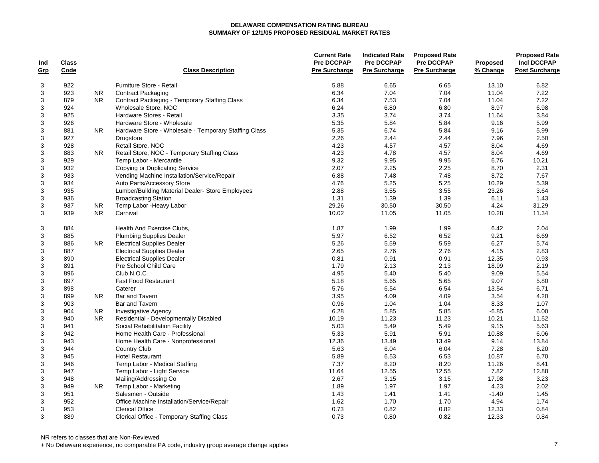| Ind<br><u>Grp</u> | <b>Class</b><br>Code |           | <b>Class Description</b>                              | <b>Current Rate</b><br><b>Pre DCCPAP</b><br><b>Pre Surcharge</b> | <b>Indicated Rate</b><br><b>Pre DCCPAP</b><br><b>Pre Surcharge</b> | <b>Proposed Rate</b><br><b>Pre DCCPAP</b><br><b>Pre Surcharge</b> | <b>Proposed</b><br>% Change | <b>Proposed Rate</b><br><b>Incl DCCPAP</b><br><b>Post Surcharge</b> |
|-------------------|----------------------|-----------|-------------------------------------------------------|------------------------------------------------------------------|--------------------------------------------------------------------|-------------------------------------------------------------------|-----------------------------|---------------------------------------------------------------------|
|                   |                      |           |                                                       |                                                                  |                                                                    |                                                                   |                             |                                                                     |
| 3                 | 922                  |           | Furniture Store - Retail                              | 5.88                                                             | 6.65                                                               | 6.65                                                              | 13.10                       | 6.82                                                                |
| 3                 | 923                  | NR.       | <b>Contract Packaging</b>                             | 6.34                                                             | 7.04                                                               | 7.04                                                              | 11.04                       | 7.22                                                                |
| 3                 | 879                  | <b>NR</b> | <b>Contract Packaging - Temporary Staffing Class</b>  | 6.34                                                             | 7.53                                                               | 7.04                                                              | 11.04                       | 7.22                                                                |
| 3                 | 924                  |           | Wholesale Store, NOC                                  | 6.24                                                             | 6.80                                                               | 6.80                                                              | 8.97                        | 6.98                                                                |
| $\mathbf{3}$      | 925                  |           | Hardware Stores - Retail                              | 3.35                                                             | 3.74                                                               | 3.74                                                              | 11.64                       | 3.84                                                                |
| $\sqrt{3}$        | 926                  |           | Hardware Store - Wholesale                            | 5.35                                                             | 5.84                                                               | 5.84                                                              | 9.16                        | 5.99                                                                |
| $\mathbf{3}$      | 881                  | NR        | Hardware Store - Wholesale - Temporary Staffing Class | 5.35                                                             | 6.74                                                               | 5.84                                                              | 9.16                        | 5.99                                                                |
| 3                 | 927                  |           | Drugstore                                             | 2.26                                                             | 2.44                                                               | 2.44                                                              | 7.96                        | 2.50                                                                |
| $\mathbf{3}$      | 928                  |           | Retail Store, NOC                                     | 4.23                                                             | 4.57                                                               | 4.57                                                              | 8.04                        | 4.69                                                                |
| $\sqrt{3}$        | 883                  | <b>NR</b> | Retail Store, NOC - Temporary Staffing Class          | 4.23                                                             | 4.78                                                               | 4.57                                                              | 8.04                        | 4.69                                                                |
| $\sqrt{3}$        | 929                  |           | Temp Labor - Mercantile                               | 9.32                                                             | 9.95                                                               | 9.95                                                              | 6.76                        | 10.21                                                               |
| $\sqrt{3}$        | 932                  |           | Copying or Duplicating Service                        | 2.07                                                             | 2.25                                                               | 2.25                                                              | 8.70                        | 2.31                                                                |
| $\mathbf{3}$      | 933                  |           | Vending Machine Installation/Service/Repair           | 6.88                                                             | 7.48                                                               | 7.48                                                              | 8.72                        | 7.67                                                                |
| $\mathbf{3}$      | 934                  |           | Auto Parts/Accessory Store                            | 4.76                                                             | 5.25                                                               | 5.25                                                              | 10.29                       | 5.39                                                                |
| $\mathbf{3}$      | 935                  |           | Lumber/Building Material Dealer-Store Employees       | 2.88                                                             | 3.55                                                               | 3.55                                                              | 23.26                       | 3.64                                                                |
| $\mathbf{3}$      | 936                  |           | <b>Broadcasting Station</b>                           | 1.31                                                             | 1.39                                                               | 1.39                                                              | 6.11                        | 1.43                                                                |
| 3                 | 937                  | NR.       | Temp Labor - Heavy Labor                              | 29.26                                                            | 30.50                                                              | 30.50                                                             | 4.24                        | 31.29                                                               |
| 3                 | 939                  | <b>NR</b> | Carnival                                              | 10.02                                                            | 11.05                                                              | 11.05                                                             | 10.28                       | 11.34                                                               |
| 3                 | 884                  |           | Health And Exercise Clubs,                            | 1.87                                                             | 1.99                                                               | 1.99                                                              | 6.42                        | 2.04                                                                |
| 3                 | 885                  |           | <b>Plumbing Supplies Dealer</b>                       | 5.97                                                             | 6.52                                                               | 6.52                                                              | 9.21                        | 6.69                                                                |
| $\sqrt{3}$        | 886                  | NR.       | <b>Electrical Supplies Dealer</b>                     | 5.26                                                             | 5.59                                                               | 5.59                                                              | 6.27                        | 5.74                                                                |
| 3                 | 887                  |           | <b>Electrical Supplies Dealer</b>                     | 2.65                                                             | 2.76                                                               | 2.76                                                              | 4.15                        | 2.83                                                                |
| 3                 | 890                  |           | <b>Electrical Supplies Dealer</b>                     | 0.81                                                             | 0.91                                                               | 0.91                                                              | 12.35                       | 0.93                                                                |
| 3                 | 891                  |           | Pre School Child Care                                 | 1.79                                                             | 2.13                                                               | 2.13                                                              | 18.99                       | 2.19                                                                |
| $\sqrt{3}$        | 896                  |           | Club N.O.C                                            | 4.95                                                             | 5.40                                                               | 5.40                                                              | 9.09                        | 5.54                                                                |
| $\sqrt{3}$        | 897                  |           | <b>Fast Food Restaurant</b>                           | 5.18                                                             | 5.65                                                               | 5.65                                                              | 9.07                        | 5.80                                                                |
| $\sqrt{3}$        | 898                  |           | Caterer                                               | 5.76                                                             | 6.54                                                               | 6.54                                                              | 13.54                       | 6.71                                                                |
| $\sqrt{3}$        | 899                  | <b>NR</b> | Bar and Tavern                                        | 3.95                                                             | 4.09                                                               | 4.09                                                              | 3.54                        | 4.20                                                                |
| $\sqrt{3}$        | 903                  |           | Bar and Tavern                                        | 0.96                                                             | 1.04                                                               | 1.04                                                              | 8.33                        | 1.07                                                                |
| $\mathbf{3}$      | 904                  | NR.       | <b>Investigative Agency</b>                           | 6.28                                                             | 5.85                                                               | 5.85                                                              | $-6.85$                     | 6.00                                                                |
| $\mathbf{3}$      | 940                  | <b>NR</b> | Residential - Developmentally Disabled                | 10.19                                                            | 11.23                                                              | 11.23                                                             | 10.21                       | 11.52                                                               |
| 3                 | 941                  |           | Social Rehabilitation Facility                        | 5.03                                                             | 5.49                                                               | 5.49                                                              | 9.15                        | 5.63                                                                |
| 3                 | 942                  |           | Home Health Care - Professional                       | 5.33                                                             | 5.91                                                               | 5.91                                                              | 10.88                       | 6.06                                                                |
| $\mathbf{3}$      | 943                  |           | Home Health Care - Nonprofessional                    | 12.36                                                            | 13.49                                                              | 13.49                                                             | 9.14                        | 13.84                                                               |
| $\sqrt{3}$        | 944                  |           | <b>Country Club</b>                                   | 5.63                                                             | 6.04                                                               | 6.04                                                              | 7.28                        | 6.20                                                                |
| $\mathbf{3}$      | 945                  |           | <b>Hotel Restaurant</b>                               | 5.89                                                             | 6.53                                                               | 6.53                                                              | 10.87                       | 6.70                                                                |
| $\mathbf{3}$      | 946                  |           | Temp Labor - Medical Staffing                         | 7.37                                                             | 8.20                                                               | 8.20                                                              | 11.26                       | 8.41                                                                |
| $\sqrt{3}$        | 947                  |           | Temp Labor - Light Service                            | 11.64                                                            | 12.55                                                              | 12.55                                                             | 7.82                        | 12.88                                                               |
| $\sqrt{3}$        | 948                  |           | Mailing/Addressing Co                                 | 2.67                                                             | 3.15                                                               | 3.15                                                              | 17.98                       | 3.23                                                                |
| $\sqrt{3}$        | 949                  | NR.       | Temp Labor - Marketing                                | 1.89                                                             | 1.97                                                               | 1.97                                                              | 4.23                        | 2.02                                                                |
| 3                 | 951                  |           | Salesmen - Outside                                    | 1.43                                                             | 1.41                                                               | 1.41                                                              | $-1.40$                     | 1.45                                                                |
| $\sqrt{3}$        | 952                  |           | Office Machine Installation/Service/Repair            | 1.62                                                             | 1.70                                                               | 1.70                                                              | 4.94                        | 1.74                                                                |
| 3                 | 953                  |           | <b>Clerical Office</b>                                | 0.73                                                             | 0.82                                                               | 0.82                                                              | 12.33                       | 0.84                                                                |
| 3                 | 889                  |           | Clerical Office - Temporary Staffing Class            | 0.73                                                             | 0.80                                                               | 0.82                                                              | 12.33                       | 0.84                                                                |

NR refers to classes that are Non-Reviewed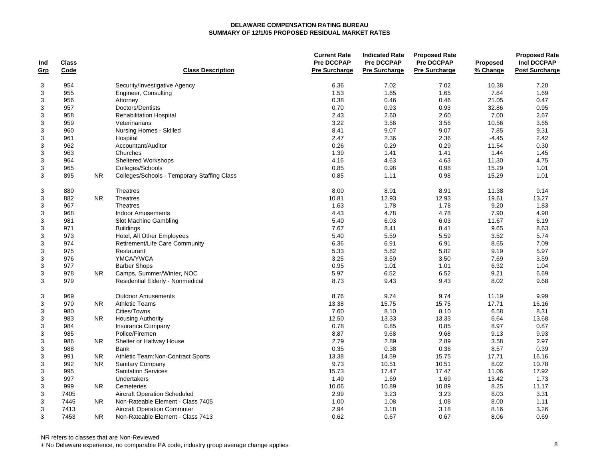| Ind<br>Grp | <b>Class</b><br>Code |                | <b>Class Description</b>                    | <b>Current Rate</b><br><b>Pre DCCPAP</b><br><b>Pre Surcharge</b> | <b>Indicated Rate</b><br><b>Pre DCCPAP</b><br><b>Pre Surcharge</b> | <b>Proposed Rate</b><br><b>Pre DCCPAP</b><br><b>Pre Surcharge</b> | <b>Proposed</b><br>% Change | <b>Proposed Rate</b><br><b>Incl DCCPAP</b><br><b>Post Surcharge</b> |
|------------|----------------------|----------------|---------------------------------------------|------------------------------------------------------------------|--------------------------------------------------------------------|-------------------------------------------------------------------|-----------------------------|---------------------------------------------------------------------|
|            |                      |                |                                             |                                                                  |                                                                    |                                                                   |                             |                                                                     |
| 3          | 954                  |                | Security/Investigative Agency               | 6.36                                                             | 7.02                                                               | 7.02                                                              | 10.38                       | 7.20                                                                |
| 3          | 955                  |                | Engineer, Consulting                        | 1.53                                                             | 1.65                                                               | 1.65                                                              | 7.84                        | 1.69                                                                |
| 3          | 956                  |                | Attorney                                    | 0.38                                                             | 0.46                                                               | 0.46                                                              | 21.05                       | 0.47                                                                |
| 3          | 957                  |                | Doctors/Dentists                            | 0.70                                                             | 0.93                                                               | 0.93                                                              | 32.86                       | 0.95                                                                |
| 3          | 958                  |                | <b>Rehabilitation Hospital</b>              | 2.43                                                             | 2.60                                                               | 2.60                                                              | 7.00                        | 2.67                                                                |
| 3          | 959                  |                | Veterinarians                               | 3.22                                                             | 3.56                                                               | 3.56                                                              | 10.56                       | 3.65                                                                |
| 3          | 960                  |                | Nursing Homes - Skilled                     | 8.41                                                             | 9.07                                                               | 9.07                                                              | 7.85                        | 9.31                                                                |
| 3          | 961                  |                | Hospital                                    | 2.47                                                             | 2.36                                                               | 2.36                                                              | $-4.45$                     | 2.42                                                                |
| 3          | 962                  |                | Accountant/Auditor                          | 0.26                                                             | 0.29                                                               | 0.29                                                              | 11.54                       | 0.30                                                                |
| 3          | 963                  |                | Churches                                    | 1.39                                                             | 1.41                                                               | 1.41                                                              | 1.44                        | 1.45                                                                |
| 3          | 964                  |                | Sheltered Workshops                         | 4.16                                                             | 4.63                                                               | 4.63                                                              | 11.30                       | 4.75                                                                |
| 3          | 965                  |                | Colleges/Schools                            | 0.85                                                             | 0.98                                                               | 0.98                                                              | 15.29                       | 1.01                                                                |
| 3          | 895                  | <b>NR</b>      | Colleges/Schools - Temporary Staffing Class | 0.85                                                             | 1.11                                                               | 0.98                                                              | 15.29                       | 1.01                                                                |
| 3          | 880                  |                | Theatres                                    | 8.00                                                             | 8.91                                                               | 8.91                                                              | 11.38                       | 9.14                                                                |
| 3          | 882                  | NR.            | <b>Theatres</b>                             | 10.81                                                            | 12.93                                                              | 12.93                                                             | 19.61                       | 13.27                                                               |
| 3          | 967                  |                | <b>Theatres</b>                             | 1.63                                                             | 1.78                                                               | 1.78                                                              | 9.20                        | 1.83                                                                |
| 3          | 968                  |                | <b>Indoor Amusements</b>                    | 4.43                                                             | 4.78                                                               | 4.78                                                              | 7.90                        | 4.90                                                                |
| 3          | 981                  |                | Slot Machine Gambling                       | 5.40                                                             | 6.03                                                               | 6.03                                                              | 11.67                       | 6.19                                                                |
| 3          | 971                  |                | <b>Buildings</b>                            | 7.67                                                             | 8.41                                                               | 8.41                                                              | 9.65                        | 8.63                                                                |
| 3          | 973                  |                | Hotel, All Other Employees                  | 5.40                                                             | 5.59                                                               | 5.59                                                              | 3.52                        | 5.74                                                                |
| 3          | 974                  |                | Retirement/Life Care Community              | 6.36                                                             | 6.91                                                               | 6.91                                                              | 8.65                        | 7.09                                                                |
| 3          | 975                  |                | Restaurant                                  | 5.33                                                             | 5.82                                                               | 5.82                                                              | 9.19                        | 5.97                                                                |
| 3          | 976                  |                | YMCA/YWCA                                   | 3.25                                                             | 3.50                                                               | 3.50                                                              | 7.69                        | 3.59                                                                |
| 3          | 977                  |                | <b>Barber Shops</b>                         | 0.95                                                             | 1.01                                                               | 1.01                                                              | 6.32                        | 1.04                                                                |
| 3          | 978                  | <b>NR</b>      | Camps, Summer/Winter, NOC                   | 5.97                                                             | 6.52                                                               | 6.52                                                              | 9.21                        | 6.69                                                                |
| 3          | 979                  |                | Residential Elderly - Nonmedical            | 8.73                                                             | 9.43                                                               | 9.43                                                              | 8.02                        | 9.68                                                                |
| 3          | 969                  |                | <b>Outdoor Amusements</b>                   | 8.76                                                             | 9.74                                                               | 9.74                                                              | 11.19                       | 9.99                                                                |
| 3          | 970                  | NR.            | <b>Athletic Teams</b>                       | 13.38                                                            | 15.75                                                              | 15.75                                                             | 17.71                       | 16.16                                                               |
| 3          | 980                  |                | Cities/Towns                                | 7.60                                                             | 8.10                                                               | 8.10                                                              | 6.58                        | 8.31                                                                |
| 3          | 983                  | NR.            | <b>Housing Authority</b>                    | 12.50                                                            | 13.33                                                              | 13.33                                                             | 6.64                        | 13.68                                                               |
| 3          | 984                  |                | Insurance Company                           | 0.78                                                             | 0.85                                                               | 0.85                                                              | 8.97                        | 0.87                                                                |
| 3          | 985                  |                | Police/Firemen                              | 8.87                                                             | 9.68                                                               | 9.68                                                              | 9.13                        | 9.93                                                                |
| 3          | 986                  | N <sub>R</sub> | Shelter or Halfway House                    | 2.79                                                             | 2.89                                                               | 2.89                                                              | 3.58                        | 2.97                                                                |
| 3          | 988                  |                | <b>Bank</b>                                 | 0.35                                                             | 0.38                                                               | 0.38                                                              | 8.57                        | 0.39                                                                |
| 3          | 991                  | <b>NR</b>      | Athletic Team: Non-Contract Sports          | 13.38                                                            | 14.59                                                              | 15.75                                                             | 17.71                       | 16.16                                                               |
| 3          | 992                  | <b>NR</b>      | Sanitary Company                            | 9.73                                                             | 10.51                                                              | 10.51                                                             | 8.02                        | 10.78                                                               |
| 3          | 995                  |                | <b>Sanitation Services</b>                  | 15.73                                                            | 17.47                                                              | 17.47                                                             | 11.06                       | 17.92                                                               |
| 3          | 997                  |                | Undertakers                                 | 1.49                                                             | 1.69                                                               | 1.69                                                              | 13.42                       | 1.73                                                                |
| 3          | 999                  | NR.            | Cemeteries                                  | 10.06                                                            | 10.89                                                              | 10.89                                                             | 8.25                        | 11.17                                                               |
| 3          | 7405                 |                | <b>Aircraft Operation Scheduled</b>         | 2.99                                                             | 3.23                                                               | 3.23                                                              | 8.03                        | 3.31                                                                |
| 3          | 7445                 | <b>NR</b>      | Non-Rateable Element - Class 7405           | 1.00                                                             | 1.08                                                               | 1.08                                                              | 8.00                        | 1.11                                                                |
| 3          | 7413                 |                | <b>Aircraft Operation Commuter</b>          | 2.94                                                             | 3.18                                                               | 3.18                                                              | 8.16                        | 3.26                                                                |
| 3          | 7453                 | <b>NR</b>      | Non-Rateable Element - Class 7413           | 0.62                                                             | 0.67                                                               | 0.67                                                              | 8.06                        | 0.69                                                                |